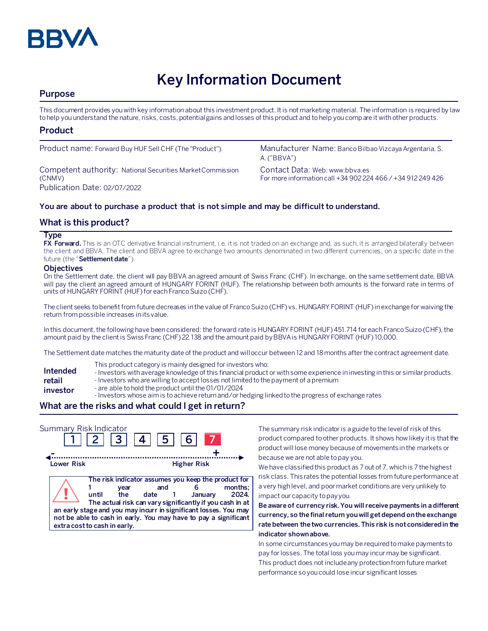

# **Key Information Document**

# **Purpose**

This document provides you with key information about this investment product. It is not marketing material. The information is required by law to help you understand the nature, risks, costs, potential gains and losses of this product and to help you compare it with other products.

# **Product**

Competent authority: National Securities Market Commission (CNMV) Publication Date: 02/07/2022

Product name: Forward Buy HUF Sell CHF (The "Product"). Manufacturer Name: Banco Bilbao Vizcaya Argentaria, S. A. ("BBVA")

> Contact Data: Web: www.bbva.es For more information call +34 902 224 466 / +34 912 249 426

### **You are about to purchase a product that is not simple and may be difficult to understand.**

# **What is this product?**

#### **Type**

**FX Forward.** This is an OTC derivative financial instrument, i.e. it is not traded on an exchange and, as such, it is arranged bilaterally between the client and BBVA. The client and BBVA agree to exchange two amounts denominated in two different currencies, on a specific date in the future (the "**Settlement date**").

#### **Objectives**

On the Settlement date, the client will pay BBVA an agreed amount of Swiss Franc (CHF). In exchange, on the same settlement date, BBVA will pay the client an agreed amount of HUNGARY FORINT (HUF). The relationship between both amounts is the forward rate in terms of units of HUNGARY FORINT (HUF)for each Franco Suizo (CHF).

The client seeks to benefit from future decreases in the value of Franco Suizo (CHF) vs. HUNGARY FORINT (HUF) in exchange for waiving the return from possible increases in its value.

In this document, the following have been considered: the forward rate is HUNGARY FORINT (HUF)451.714 for each Franco Suizo (CHF), the amount paid by the client is Swiss Franc (CHF) 22.138 and the amount paid by BBVA is HUNGARY FORINT (HUF) 10,000.

The Settlement date matches the maturity date of the product and will occur between 12 and 18 months after the contract agreement date.

- This product category is mainly designed for investors who:
- **Intended**  - Investors with average knowledge of this financial product or with some experience in investing in this or similar products.
- **retail**  - Investors who are willing to accept losses not limited to the payment of a premium
- **investor** - are able to hold the product until the 01/01/2024
	- Investors whose aim is to achieve return and/or hedging linked to the progress of exchange rates

# **What are the risks and what could I get in return?**

| Summary Risk Indicator | $2 \mid 3 \mid 4 \mid$                                                                                                                                                                      | $ 5 $ 6                                                                                                                          |                    |                 |
|------------------------|---------------------------------------------------------------------------------------------------------------------------------------------------------------------------------------------|----------------------------------------------------------------------------------------------------------------------------------|--------------------|-----------------|
| Lower Risk             |                                                                                                                                                                                             |                                                                                                                                  | <b>Higher Risk</b> |                 |
|                        | year<br>until<br>the<br>an early stage and you may incurr in significant losses. You may<br>not be able to cash in early. You may have to pay a significant<br>extra cost to cash in early. | The risk indicator assumes you keep the product for<br>and<br>date 1<br>The actual risk can vary significantly if you cash in at | January            | months:<br>2024 |

The summary risk indicator is a guide to the level of risk of this product compared to other products. It shows how likely it is that the product will lose money because of movements in the markets or because we are not able to pay you.

We have classified this product as 7 out of 7, which is 7 the highest risk class. This rates the potential losses from future performance at a very high level, and poor market conditions are very unlikely to impact our capacity to pay you.

**Be aware of currency risk. You will receive payments in a different currency, so the final return you will get depend on the exchange rate between the two currencies. This risk is not considered in the indicator shown above.**

In some circumstances you may be required to make payments to pay for losses. The total loss you may incur may be significant. This product does not include any protection from future market performance so you could lose incur significant losses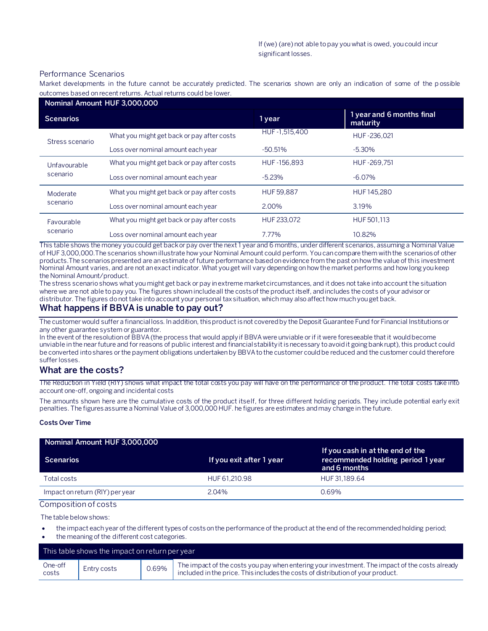#### Performance Scenarios

Market developments in the future cannot be accurately predicted. The scenarios shown are only an indication of some of the p ossible outcomes based on recent returns. Actual returns could be lower.

| Nominal Amount HUF 3,000,000 |                                            |               |                                       |
|------------------------------|--------------------------------------------|---------------|---------------------------------------|
| <b>Scenarios</b>             |                                            | 1 year        | 1 year and 6 months final<br>maturity |
| Stress scenario              | What you might get back or pay after costs | HUF-1,515,400 | HUF-236.021                           |
|                              | Loss over nominal amount each year         | $-50.51\%$    | $-5.30\%$                             |
| Unfavourable<br>scenario     | What you might get back or pay after costs | HUF-156.893   | HUF-269.751                           |
|                              | Loss over nominal amount each year         | $-5.23%$      | $-6.07\%$                             |
| Moderate<br>scenario         | What you might get back or pay after costs | HUF 59.887    | HUF 145.280                           |
|                              | Loss over nominal amount each year         | 2.00%         | 3.19%                                 |
| Favourable<br>scenario       | What you might get back or pay after costs | HUF 233.072   | HUF 501.113                           |
|                              | Loss over nominal amount each year         | 7.77%         | 10.82%                                |

This table shows the money you could get back or pay over the next 1 year and 6 months, under different scenarios, assuming a Nominal Value of HUF 3,000,000.The scenarios shown illustrate how your Nominal Amount could perform. You can compare them with the scenarios of other products.The scenarios presented are an estimate of future performance based on evidence from the past on how the value of this investment Nominal Amount varies, and are not an exact indicator. What you get will vary depending on how the market performs and how long you keep the Nominal Amount/product.

The stress scenario shows what you might get back or pay in extreme market circumstances, and it does not take into account the situation where we are not able to pay you. The figures shown include all the costs of the product itself, and includes the costs of your advisor or distributor. The figures do not take into account your personal tax situation, which may also affect how much you get back.

### **What happens if BBVA is unable to pay out?**

The customer would suffer a financial loss. In addition, this product is not covered by the Deposit Guarantee Fund for Financial Institutions or any other guarantee system or guarantor.

In the event of the resolution of BBVA (the process that would apply if BBVA were unviable or if it were foreseeable that it would become unviable in the near future and for reasons of public interest and financial stability it is necessary to avoid it going bankrupt), this product could be converted into shares or the payment obligations undertaken by BBVA to the customer could be reduced and the customer could therefore suffer losses.

#### **What are the costs?**

The Reduction in Yield (RIY) shows what impact the total costs you pay will have on the performance of the product. The total costs take into account one-off, ongoing and incidental costs

The amounts shown here are the cumulative costs of the product itself, for three different holding periods. They include potential early exit penalties. The figures assume a Nominal Value of 3,000,000 HUF. he figures are estimates and may change in the future.

#### **Costs Over Time**

| Nominal Amount HUF 3,000,000    |                          |                                                                                       |
|---------------------------------|--------------------------|---------------------------------------------------------------------------------------|
| Scenarios                       | If you exit after 1 year | If you cash in at the end of the<br>recommended holding period 1 year<br>and 6 months |
| Total costs                     | HUF 61.210.98            | HUF 31.189.64                                                                         |
| Impact on return (RIY) per year | 2.04%                    | 0.69%                                                                                 |

Composition of costs

The table below shows:

- the impact each year of the different types of costs on the performance of the product at the end of the recommended holding period;
- the meaning of the different cost categories.

| This table shows the impact on return per year |             |       |                                                                                                                                                                                   |
|------------------------------------------------|-------------|-------|-----------------------------------------------------------------------------------------------------------------------------------------------------------------------------------|
| One-off<br>costs                               | Entry costs | 0.69% | The impact of the costs you pay when entering your investment. The impact of the costs already<br>included in the price. This includes the costs of distribution of your product. |